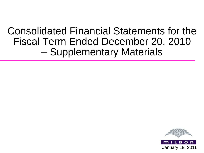## Consolidated Financial Statements for the Fiscal Term Ended December 20, 2010 – Supplementary Materials

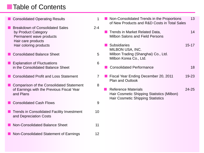#### ■Table of Contents

■ Consolidated Operating Results 1 Breakdown of Consolidated Sales 2-4 by Product Category Permanent wave products Hair care products Hair coloring products ■ Consolidated Balance Sheet 5 **Explanation of Fluctuations** 6 in the Consolidated Balance Sheet Consolidated Profit and Loss Statement 7 Comparison of the Consolidated Statement 8 of Earnings with the Previous Fiscal Year and Plans ■ Consolidated Cash Flows 9 Trends in Consolidated Facility Investment 10 and Depreciation Costs Non-Consolidated Balance Sheet 11 Non-Consolidated Statement of Earnings 12 ■ Non-Consolidated Trends in the Proportions 13 of New Products and R&D Costs in Total Sales **Trends in Market Related Data, Theory 14** Milbon Salons and Field Persons ■ Subsidiaries 15-17 MILBON USA, INC. Milbon Trading (Shanghai) Co., Ltd. Milbon Korea Co., Ltd. **Consolidated Performance** 18 ■ Fiscal Year Ending December 20, 2011 19-23 Plan and Outlook **Reference Materials 24-25** Hair Cosmetic Shipping Statistics (Milbon) Hair Cosmetic Shipping Statistics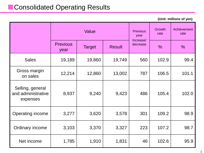### ■Consolidated Operating Results

**(Unit: millions of yen)**

|                                                    |                         | Value         | <b>Previous</b><br>year<br>Increase/ | Growth<br>rate | Achievement<br>rate |               |
|----------------------------------------------------|-------------------------|---------------|--------------------------------------|----------------|---------------------|---------------|
|                                                    | <b>Previous</b><br>year | <b>Target</b> | <b>Result</b>                        | decrease       | $\frac{0}{0}$       | $\frac{0}{0}$ |
| <b>Sales</b>                                       | 19,189                  | 19,860        | 19,749                               | 560            | 102.9               | 99.4          |
| Gross margin<br>on sales                           | 12,214                  | 12,860        | 13,002                               | 787            | 106.5               | 101.1         |
| Selling, general<br>and administrative<br>expenses | 8,937                   | 9,240         | 9,423                                | 486            | 105.4               | 102.0         |
| Operating income                                   | 3,277                   | 3,620         | 3,578                                | 301            | 109.2               | 98.9          |
| Ordinary income                                    | 3,103                   | 3,370         | 3,327                                | 223            | 107.2               | 98.7          |
| Net income                                         | 1,785                   | 1,910         | 1,831                                | 46             | 102.6               | 95.9          |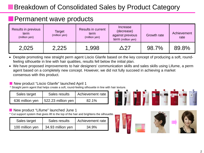## Breakdown of Consolidated Sales by Product Category

#### **Permanent wave products**

| Results in previous<br>term<br>(million yen) | <b>Target</b><br>(million yen) | <b>Results in current</b><br>term<br>(million yen) | <b>Increase</b><br>(decrease)<br>against previous<br>term (million yen) | <b>Growth rate</b> | Achievement<br>rate |
|----------------------------------------------|--------------------------------|----------------------------------------------------|-------------------------------------------------------------------------|--------------------|---------------------|
| 2,025                                        | 2,225                          | 1,998                                              | ヘ 27                                                                    | 98.7%              | 89.8%               |

- Despite promoting new straight perm agent Liscio Glanfe based on the key concept of producing a soft, roundfeeling silhouette in line with hair qualities, results fell below the initial plan.
- We have proposed improvements to hair designers' communication skills and sales skills using Lifume, a perm agent based on a completely new concept. However, we did not fully succeed in achieving a market consensus with this product.

#### ■ New product "Liscio Glanfe" launched April 1

\* Straight perm agent that helps create a soft, round-feeling silhouette in line with hair texture.

| Sales target    | Sales results         | Achievement rate |  |
|-----------------|-----------------------|------------------|--|
| 636 million yen | $ 522.23$ million yen | 82.1%            |  |

#### New product "Lifume" launched June 1

\* Cut support system that gives lift to the top of the hair and brightens the silhouette.

| Sales target    | Sales results     | Achievement rate |
|-----------------|-------------------|------------------|
| 100 million yen | 34.93 million yen | 34.9%            |







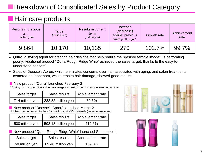## Breakdown of Consolidated Sales by Product Category

#### ■Hair care products

| Results in previous<br>term<br>(million yen) | <b>Target</b><br>(million yen) | <b>Results in current</b><br>term<br>(million yen) | Increase<br>(decrease)<br>against previous<br>term (million yen) | <b>Growth rate</b> | Achievement<br>rate |  |
|----------------------------------------------|--------------------------------|----------------------------------------------------|------------------------------------------------------------------|--------------------|---------------------|--|
| 9,864                                        | 10,170                         | 10,135                                             | 270                                                              | $102.7\%$          | 99.7%               |  |

- Qufra, a styling agent for creating hair designs that help realize the "desired female image", is performing poorly. Additional product "Qufra Rough Ridge Whip" achieved the sales target, thanks to the easy-tounderstand concept.
- Sales of Deesse's Aprou, which eliminates concerns over hair associated with aging, and salon treatments centered on Inphenom, which repairs hair damage, showed good results.

#### New product "Qufra" launched February 2

\* Styling products for different female images to design the woman you want to become.

| Sales target    | Sales results         | Achievement rate |  |
|-----------------|-----------------------|------------------|--|
| 714 million yen | 1282.82 million yen 1 | 39.6%            |  |

New product "Deesse's Aprou" launched March 2 \* Moisturizing emulsion for hair for use from mid-30s onwards (leave-in treatment)

| Sales target    | Sales results         | Achievement rate |  |  |
|-----------------|-----------------------|------------------|--|--|
| 500 million yen | $ 598.18$ million yen | 119.6%           |  |  |

New product "Qufra Rough Ridge Whip" launched September 1

| Sales target   | Sales results     | Achievement rate |
|----------------|-------------------|------------------|
| 50 million yen | 69.48 million yen | 139.0%           |

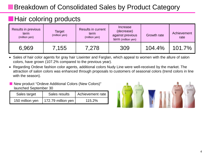## Breakdown of Consolidated Sales by Product Category

### ■Hair coloring products

| Results in previous<br>term<br>(million yen) | <b>Target</b><br>(million yen) | <b>Results in current</b><br>term<br>(million yen) | <b>Increase</b><br>(decrease)<br>against previous<br>term (million yen) | Growth rate | Achievement<br>rate |
|----------------------------------------------|--------------------------------|----------------------------------------------------|-------------------------------------------------------------------------|-------------|---------------------|
| 6,969                                        | 7.155                          | 7,278                                              | 309                                                                     | $104.4\%$   | $101.7\%$           |

- Sales of hair color agents for gray hair Liseinter and Farglan, which appeal to women with the allure of salon colors, have grown (107.2% compared to the previous year).
- Regarding Ordeve fashion color agents, additional colors Nudy Line were well-received by the market. The attraction of salon colors was enhanced through proposals to customers of seasonal colors (trend colors in line with the season).

#### New product "Ordeve Additional Colors (New Colors)" launched September 30

| Sales target    | Sales results        | Achievement rate |
|-----------------|----------------------|------------------|
| 150 million yen | $172.79$ million yen | 115.2%           |

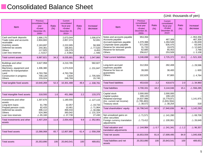#### ■ Consolidated Balance Sheet

| Item                                                                                                                                               | <b>Previous</b><br>consolidated fiscal<br>year<br><ended<br>December 20.<br/>2009&gt;</ended<br> | Ratio<br>(% ) | Current<br>consolidated<br>fiscal year<br><ended<br>December 20.<br/>2010 &gt;</ended<br> | Ratio<br>(% ) | Increase/<br>decrease                                                           | <b>Item</b>                                                                                                                                                                 | <b>Previous</b><br>consolidated<br>fiscal year<br><ended<br>December 20.<br/>2009<sub>&gt;</sub></ended<br> | Ratio<br>(% )   | Current<br>consolidated<br>fiscal year<br><ended<br>December 20.<br/>2010 &gt;</ended<br> | Ratio<br>(% )   | Increase/<br>decrease                                                                                              |
|----------------------------------------------------------------------------------------------------------------------------------------------------|--------------------------------------------------------------------------------------------------|---------------|-------------------------------------------------------------------------------------------|---------------|---------------------------------------------------------------------------------|-----------------------------------------------------------------------------------------------------------------------------------------------------------------------------|-------------------------------------------------------------------------------------------------------------|-----------------|-------------------------------------------------------------------------------------------|-----------------|--------------------------------------------------------------------------------------------------------------------|
| Cash and bank deposits<br>Trade notes and accounts<br>receivable<br>Inventory assets<br>Deferred tax assets<br><b>Others</b><br>Loan loss reserves | 1.666.170<br>2,804,683<br>2,163,697<br>244,361<br>117,925<br>$\triangle$ 9,017                   |               | 2,673,044<br>2,857,374<br>2,222,005<br>166,841<br>126,378<br>$\triangle$ 9,963            |               | 1,006,874<br>52,691<br>58,308<br>$\triangle$ 77,520<br>8,453<br>$\triangle$ 946 | Notes and accounts payable<br>Accounts payable<br>Accrued expenses payable<br>Corporate taxes payable<br>Reserve for returned goods<br>Reserve for bonuses<br><b>Others</b> | 953,356<br>1.370.388<br>571,930<br>31.720<br>62,685<br>256,617                                              |                 | 467.309<br>1.284.549<br>635,475<br>19.075<br>65,453<br>253,509                            |                 | $\triangle$ 953.356<br>467,309<br>$\triangle$ 85,839<br>63,545<br>$\triangle$ 12.645<br>2,768<br>$\triangle$ 3,108 |
| <b>Total current assets</b>                                                                                                                        | 6,987,821                                                                                        | 34.3          | 8,035,681                                                                                 | 38.6          | 1,047,860                                                                       | <b>Total current liabilities</b>                                                                                                                                            | 3,246,698                                                                                                   | 16.0            | 2,725,372                                                                                 | 13.1            | $\triangle$ 521,326                                                                                                |
| Buildings and other<br>structures<br>Machinery, equipment and<br>vehicles for transportation<br>Land<br>Construction in progress<br>Others         | 3,627,958<br>1,306,380<br>4,763,766<br>709,139<br>233,024                                        |               | 4,210,785<br>1,074,533<br>4,763,766<br>3,634<br>248,769                                   |               | 582,827<br>$\triangle$ 231,847<br>$\triangle$ 705,505<br>15,745                 | Long-term accrued<br>expenses payable<br>Reserve for loss on<br>quarantees<br><b>Others</b>                                                                                 | 312,004<br>39,000<br>102,629                                                                                |                 | 282,408<br>38,400<br>97,865                                                               |                 | $\triangle$ 29,596<br>$\triangle$ 600<br>$\triangle$ 4,764                                                         |
| Total tangible fixed assets                                                                                                                        | 10,640,269                                                                                       | 52.3          | 10,301,488                                                                                | 49.4          | $\triangle$ 338,781                                                             | <b>Total fixed liabilities</b>                                                                                                                                              | 453,633                                                                                                     | 2.2             | 418,673                                                                                   | 2.0             | $\triangle$ 34,960                                                                                                 |
|                                                                                                                                                    |                                                                                                  |               |                                                                                           |               |                                                                                 | <b>Total liabilities</b>                                                                                                                                                    | 3,700,331                                                                                                   | 18.2            | 3,144,046                                                                                 | 15.1            | $\triangle$ 556,285                                                                                                |
| Total intangible fixed assets<br>Investments and other<br>assets<br>Long-term loans                                                                | 318,593<br>1,307,670<br>61,790                                                                   | 1.6           | 451,968<br>1,180,555<br>42,057                                                            | 2.2           | 133,375<br>$\triangle$ 127,115<br>$\triangle$ 19,733                            | Capital stock<br>Capital surplus<br>Retained earnings<br>(Inc. current net income)<br>Treasury stock                                                                        | 2,000,000<br>199,120<br>14,637,996<br>(1,785,483)<br>$\triangle$ 38,572                                     |                 | 2,000,000<br>199,120<br>15,779,971<br>(1,831,554)<br>$\triangle$ 38,254                   |                 | 1,141,975<br>318                                                                                                   |
| Prepaid pension costs<br>Deferred tax assets<br>Others<br>Loan loss reserves                                                                       | 82,425<br>496,112<br>524,366<br>$\triangle$ 65,160                                               |               | 10,461<br>466,016<br>393,042<br>$\triangle$ 37,730                                        |               | $\triangle$ 71,964<br>$\triangle$ 30,096<br>$\triangle$ 131,324<br>27,430       | Total shareholders' equity<br>Net unrealized gains on                                                                                                                       | 16,798,543<br>$\triangle$ 71,571                                                                            | 82.5            | 17,940,836<br>$\triangle$ 141,280                                                         | 86.1            | 1,142,293<br>$\triangle$ 69.709                                                                                    |
| Total investments and other<br>assets                                                                                                              | 2,407,204                                                                                        | 11.8          | 2,054,403                                                                                 | 9.9           | $\triangle$ 352,801                                                             | other securities<br>Foreign currency translation<br>adjustments                                                                                                             | $\triangle$ 73,412                                                                                          |                 | $\triangle$ 100,061                                                                       |                 | $\triangle$ 26,649                                                                                                 |
| <b>Total fixed assets</b>                                                                                                                          |                                                                                                  | 65.7          |                                                                                           |               |                                                                                 | Total valuation and<br>translation adjustments                                                                                                                              | $\triangle$ 144,984                                                                                         | $\triangle$ 0.7 | $\triangle$ 241,341                                                                       | $\triangle$ 1.2 | $\triangle$ 96,357                                                                                                 |
|                                                                                                                                                    | 13,366,068                                                                                       |               | 12,807,860                                                                                | 61.4          | $\triangle$ 558,208                                                             | Total net assets                                                                                                                                                            | 16,653,559                                                                                                  | 81.8            | 17,699,495                                                                                | 84.9            | 1,045,936                                                                                                          |
| <b>Total assets</b>                                                                                                                                | 20,353,890                                                                                       | 100           | 20,843,541                                                                                | 100           | 489,651                                                                         | Total liabilities and net<br>assets                                                                                                                                         | 20,353,890                                                                                                  | 100             | 20,843,541                                                                                | 100             | 489,651                                                                                                            |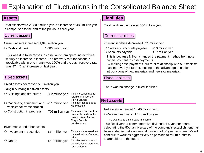## Explanation of Fluctuations in the Consolidated Balance Sheet

Total assets were 20,800 million yen, an increase of 489 million yen in comparison to the end of the previous fiscal year.

#### Current assets

Current assets increased 1,040 million yen.

 $\circ$  Cash and bank 1,006 million yen

This was due to increases in cash flows from operating activities, mainly an increase in income. The recovery rate for accounts receivable within one month was 100% and the cash recovery rate was 87.4%, an increase on last year.

#### Fixed assets

Fixed assets decreased 558 million yen.

Tangible/ intangible fixed assets

| $\circ$ Buildings and structures                                            | 582 million yen  | This increased due to<br>refurbishment of the<br>Tokyo Branch.                                                     |
|-----------------------------------------------------------------------------|------------------|--------------------------------------------------------------------------------------------------------------------|
| $\circlearrowright$ Machinery, equipment and<br>vehicles for transportation | -231 million yen | This decreased due to<br>amortization.                                                                             |
| $\circ$ Construction in progress                                            | -705 million yen | This was a transfer from<br>payments made in the<br>previous term for the<br><b>Tokyo Branch</b><br>refurbishment. |
| Investments and other assets                                                |                  |                                                                                                                    |
| $\circ$ Investment in securities                                            | -127 million yen | This is a decrease due to<br>the evaluation of market<br>prices.                                                   |
| Others                                                                      | -131 million yen | This decreased due to<br>cancellation of insurance<br>reserve funds.                                               |

#### **Assets Liabilities**

Total liabilities decreased 556 million yen.

#### Current liabilities

Current liabilities decreased 521 million yen.

 $\circ$  Notes and accounts payable -953 million yen

 $\circ$  Accounts payable 467 million yen

This is because Milbon changed the payment method from notebased payment to cash payments.

By making cash payments, our trust relationship with our stockists has improved yet further, leading to the advantage of earlier introductions of new materials and new raw materials.

#### Fixed liabilities

There was no change in fixed liabilities.

#### **Net assets**

Net assets increased 1,040 million yen.

 $O$ Retained earnings 1,140 million yen

This was due to an increase in income.

This fiscal year, a commemorative dividend of 5 yen per share celebrating the 50th anniversary of the company's establishment has been added to make an annual dividend of 60 yen per share. We will continue to work as aggressively as possible to return profits to shareholders in the future.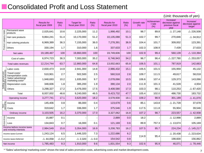### ■Consolidated Profit and Loss Statement

|                         |                                                                                                                                   | <b>Results for</b><br>fiscal year 2009 | Ratio<br>(% )   | <b>Target for</b><br>fiscal year 2010 | Ratio<br>(%)    | <b>Results for</b><br>fiscal year 2010 | Ratio<br>(% ) | Growth rate<br>(% ) | Achievemen<br>t rate<br>(% ) | Increase/<br>decrease against<br>previous fiscal<br>year | Increase/<br>decrease against<br>target |
|-------------------------|-----------------------------------------------------------------------------------------------------------------------------------|----------------------------------------|-----------------|---------------------------------------|-----------------|----------------------------------------|---------------|---------------------|------------------------------|----------------------------------------------------------|-----------------------------------------|
|                         | Permanent wave<br>products                                                                                                        | 2,025,641                              | 10.6            | 2,225,000                             | 11.2            | 1,998,492                              | 10.1          | 98.7                | 89.8                         | $\triangle$ 27,148                                       | $\triangle$ 226,508                     |
| Product category totals | Hair care products                                                                                                                | 9,864,241                              | 51.4            | 10,170,000                            | 51.2            | 10,135,088                             | 51.3          | 102.7               | 99.7                         | 270,846                                                  | $\triangle$ 34,912                      |
|                         | Hair coloring products                                                                                                            | 6,969,389                              | 36.3            | 7,155,000                             | 36.0            | 7,278,391                              | 36.9          | 104.4               | 101.7                        | 309,002                                                  | 123,391                                 |
|                         | Others                                                                                                                            | 330,194                                | 1.7             | 310,000                               | 1.6             | 337,633                                | 1.7           | 102.3               | 108.9                        | 7,439                                                    | 27,633                                  |
|                         | Net sales                                                                                                                         | 19,189,467                             | 100             | 19,860,000                            | 100             | 19,749,606                             | 100           | 102.9               | 99.4                         | 560,139                                                  | $\triangle$ 110,394                     |
|                         | Cost of sales                                                                                                                     | 6,974,723                              | 36.3            | 7,000,000                             | 35.2            | 6,746,943                              | 34.2          | 96.7                | 96.4                         | $\triangle$ 227,780                                      | $\triangle$ 253,057                     |
|                         | Total sales revenues                                                                                                              | 12,214,744                             | 63.7            | 12,860,000                            | 64.8            | 13,002,663                             | 65.8          | 106.5               | 101.1                        | 787,919                                                  | 142,663                                 |
|                         | Labor costs                                                                                                                       | 2,830,473                              | 14.8            | 2,941,300                             | 14.8            | 2,986,432                              | 15.1          | 105.5               | 101.5                        | 155,959                                                  | 45,132                                  |
|                         | Travel costs/<br>transportation costs                                                                                             | 510,901                                | 2.7             | 502,500                               | 2.5             | 560,518                                | 2.8           | 109.7               | 111.5                        | 49,617                                                   | 58,018                                  |
|                         | Sales/ advertising/<br>marketing costs*                                                                                           | 1,948,693                              | 10.2            | 1,935,000                             | 9.7             | 2,078,066                              | 10.5          | 106.6               | 107.4                        | 129,373                                                  | 143,066                                 |
| Selling,<br>administrat | Depreciation costs                                                                                                                | 348,606                                | 1.8             | 385,200                               | 1.9             | 390,134                                | 2.0           | 111.9               | 101.3                        | 41,528                                                   | 4,934                                   |
|                         | Others                                                                                                                            | 3,298,327                              | 17.2            | 3,476,000                             | 17.5            | 3,408,580                              | 17.3          | 103.3               | 98.1                         | 110,253                                                  | $\triangle$ 67,420                      |
|                         | Total                                                                                                                             | 8,937,002                              | 46.6            | 9,240,000                             | 46.5            | 9,423,732                              | 47.7          | 105.4               | 102.0                        | 486,730                                                  | 183,732                                 |
|                         | Operating income                                                                                                                  | 3,277,741                              | 17.1            | 3,620,000                             | 18.2            | 3,578,930                              | 18.1          | 109.2               | 98.9                         | 301,189                                                  | $\triangle$ 41,070                      |
| Non-<br>operating       | Income                                                                                                                            | 145,406                                | 0.8             | 86,000                                | 0.4             | 123,678                                | 0.6           | 85.1                | 143.8                        | $\triangle$ 21,728                                       | 37,678                                  |
|                         | Costs                                                                                                                             | 319,642                                | 1.7             | 336,000                               | 1.7             | 375,546                                | 1.9           | 117.5               | 111.8                        | 55,904                                                   | 39,546                                  |
|                         | Ordinary income                                                                                                                   | 3,103,505                              | 16.2            | 3,370,000                             | 17.0            | 3,327,062                              | 16.8          | 107.2               | 98.7                         | 223,557                                                  | $\triangle$ 42,938                      |
|                         | Income                                                                                                                            | 15,887                                 | 0.1             |                                       |                 | 2,889                                  | 0.0           | 18.2                |                              | $\triangle$ 12,998                                       | 2,889                                   |
| Extraordinary           | Loss                                                                                                                              | 134,843                                | 0.7             | 16,000                                | 0.1             | 121,169                                | 0.6           | 89.9                | 757.3                        | $\triangle$ 13,674                                       | 105,169                                 |
|                         | Income before income taxes<br>and minority interests                                                                              | 2,984,549                              | 15.6            | 3,354,000                             | 16.9            | 3,208,783                              | 16.2          | 107.5               | 95.7                         | 224,234                                                  | $\triangle$ 145,217                     |
|                         | Income taxes-Current                                                                                                              | 1,243,124                              | 6.5             | 1,446,320                             | 7.3             | 1,222,686                              | 6.2           | 114.9               | 95.4                         | $\triangle$ 20,438                                       | $\triangle$ 223,634                     |
|                         | Income taxes-Deferred                                                                                                             | $\triangle$ 44,058                     | $\triangle$ 0.2 | $\triangle$ 2,320                     | $\triangle$ 0.0 | 154,542                                | 0.8           |                     |                              | 198,600                                                  | 156,862                                 |
|                         | Net income                                                                                                                        | 1,785,483                              | 9.3             | 1,910,000                             | 9.6             | 1,831,554                              | 9.3           | 102.6               | 95.9                         | 46,071                                                   | $\triangle$ 78,446                      |
|                         | * "Sales/ advertising/ marketing costs" shows the total of sales promotion costs, advertising costs and market development costs. |                                        |                 |                                       |                 |                                        |               |                     |                              |                                                          |                                         |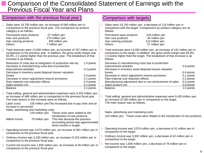#### ■ Comparison of the Consolidated Statement of Earnings with the Previous Fiscal Year and Plans

|    | Comparison with the previous fiscal year                                                                                                                                                                                                                                                                                                                                                                                                                                                                                                             |    | Comparison with targets                                                                                                                                                                                                                                                                                                                                                                                          |
|----|------------------------------------------------------------------------------------------------------------------------------------------------------------------------------------------------------------------------------------------------------------------------------------------------------------------------------------------------------------------------------------------------------------------------------------------------------------------------------------------------------------------------------------------------------|----|------------------------------------------------------------------------------------------------------------------------------------------------------------------------------------------------------------------------------------------------------------------------------------------------------------------------------------------------------------------------------------------------------------------|
|    | Sales were 19,700 million yen, an increase of 560 million yen in<br>comparison to the previous fiscal year. The comparison by product<br>category is as follows.<br>Permanent wave products<br>-27 million yen<br>270 million yen<br>Hair care products<br>Hair coloring products<br>309 million yen<br><b>Others</b><br>7 million yen                                                                                                                                                                                                               |    | Sales were 19,700 million yen, a decrease of 110 million yen in<br>comparison with the target. Comparisons by product category are as<br>follows.<br>Permanent wave products<br>-226 million yen<br>-34 million yen<br>Hair care products<br>Hair coloring products<br>123 million yen<br>27 million yen<br><b>Others</b>                                                                                        |
|    | Total revenues were 13,000 million yen, an increase of 787 million yen in<br>comparison to the previous year. In addition, the gross profit margin was<br>65.8%, 2.1 points higher than the previous year. The breakdown of that<br>increase is as follows.                                                                                                                                                                                                                                                                                          |    | 2. Total revenues were 13,000 million yen, an increase of 142 million yen in<br>comparison to the target. In addition, the gross profit margin was 65.8%,<br>1.0 points higher than the target. The breakdown of that increase is as<br>follows.                                                                                                                                                                 |
|    | Reduction of costs due to integration of production site etc.<br>1.0 points<br>Decrease in manufacturing costs due to production<br>0.3 points<br>improvement activities<br>Decrease in inventory asset disposal losses/ valuation<br>0.3 points<br>losses<br>0.1 points<br>Decrease in return adjustment reserve provisions<br>Raw material cost reduction effects<br>0.3 points<br>Sales product mix<br>0.1 points                                                                                                                                 |    | Decrease in manufacturing costs due to production<br>improvement activities<br>0.6 points<br>Decrease in inventory asset disposal losses/valuation<br>-0.4 points<br>losses<br>Decrease in return adjustment reserve provisions<br>0.1 points<br>Raw material cost reduction effects<br>0.3 points<br>-0.5 points<br>Manufacturing adjustment due to non-achievement of sales<br>Sales product mix<br>0.9 points |
|    | 2.1 points<br><b>Balance</b><br>Total selling, general and administrative expenses were 9,420 million yen,<br>an increase of 486 million yen in comparison to the previous fiscal year.<br>The main factors in this increase were as follows.<br>155 million yen This increased due to pay rises and an<br>Labor costs<br>increase in personnel.<br>Sales, advertising and marketing costs<br>129 million yen<br>These costs were related to the<br>introduction of new products.<br>Milbon Korea<br>79 million yen<br>This was because the previous | 3. | Balance<br>1.0 points<br>Total selling, general and administrative expenses were 9,420 million yen,<br>an increase of 183 million yen in comparison to the target.<br>The main reason was as follows.<br>Sales, advertising and marketing costs<br>143 million yen These costs were related to the introduction of new products.                                                                                 |
| 5. | accounting period was approximately<br>three months in length.<br>Operating income was 3,570 million yen, an increase of 301 million yen in<br>comparison to the previous fiscal year.<br>Ordinary income was 3,320 million yen, an increase of 223 million yen in                                                                                                                                                                                                                                                                                   |    | Operating income was 3,570 million yen, a decrease of 41 million yen in<br>comparison to the target.<br>5. Ordinary income was 3,302 million yen, a decrease of 42 million yen in                                                                                                                                                                                                                                |
|    | comparison to the previous fiscal year.<br>Current net income was 1,830 million yen, an increase of 46 million yen in<br>comparison to the previous fiscal year.                                                                                                                                                                                                                                                                                                                                                                                     |    | comparison to the target.<br>Net income was 1,830 million yen, a decrease of 78 million yen in<br>comparison to the target.<br>8                                                                                                                                                                                                                                                                                 |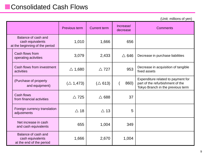#### ■ Consolidated Cash Flows

(Unit: millions of yen)

|                                                                           | Previous term       | <b>Current term</b> | Increase/<br>decrease | <b>Comments</b>                                                                                             |
|---------------------------------------------------------------------------|---------------------|---------------------|-----------------------|-------------------------------------------------------------------------------------------------------------|
| Balance of cash and<br>cash equivalents<br>at the beginning of the period | 1,010               | 1,666               | 656                   |                                                                                                             |
| Cash flows from<br>operating activities                                   | 3,079               | 2,433               | $\triangle$ 646       | Decrease in purchase liabilities                                                                            |
| Cash flows from investment<br>activities                                  | $\triangle$ 1,680   | $\triangle$ 727     | 953                   | Decrease in acquisition of tangible<br>fixed assets                                                         |
| (Purchase of property<br>and equipment)                                   | $(\triangle 1,473)$ | $(\triangle 613)$   | 860)                  | Expenditure related to payment for<br>part of the refurbishment of the<br>Tokyo Branch in the previous term |
| Cash flows<br>from financial activities                                   | $\triangle$ 725     | $\triangle$ 688     | 37                    |                                                                                                             |
| Foreign currency translation<br>adjustments                               | $\triangle$ 18      | $\triangle$ 13      | 5                     |                                                                                                             |
| Net increase in cash<br>and cash equivalents                              | 655                 | 1,004               | 349                   |                                                                                                             |
| Balance of cash and<br>cash equivalents<br>at the end of the period       | 1,666               | 2,670               | 1,004                 |                                                                                                             |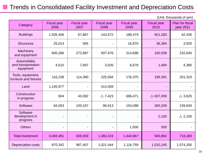#### ■ Trends in Consolidated Facility Investment and Depreciation Costs

| Category                                       | <b>Fiscal year</b><br>2006 | <b>Fiscal year</b><br>2007 | <b>Fiscal year</b><br>2008 | <b>Fiscal year</b><br>2009 | <b>Fiscal year</b><br>2010 | <b>Plan for fiscal</b><br><b>year 2011</b> |
|------------------------------------------------|----------------------------|----------------------------|----------------------------|----------------------------|----------------------------|--------------------------------------------|
| <b>Buildings</b>                               | 1,505,456                  | 67,867                     | 143,672                    | 188,474                    | 921,283                    | 42,430                                     |
| <b>Structures</b>                              | 26,014                     | 565                        |                            | 16,870                     | 36,384                     | 3,500                                      |
| Machinery<br>and equipment                     | 600,286                    | 272,887                    | 507,476                    | 214,698                    | 160,509                    | 232,640                                    |
| Automobiles<br>and transportation<br>equipment | 4,610                      | 7,697                      | 3,026                      | 6,678                      | 1,494                      | 4,380                                      |
| Tools, equipment,<br>furniture and fixtures    | 116,239                    | 114,390                    | 225,594                    | 176,375                    | 195,391                    | 201,310                                    |
| Land                                           | 1,145,977                  |                            | 414,059                    |                            |                            |                                            |
| Construction<br>in progress                    | 904                        | 43,082                     | $\triangle$ 7,423          | 686,471                    | $\triangle$ 637,009        | $\triangle$ 3,620                          |
| Software                                       | 84,003                     | 100,167                    | 96,913                     | 154,098                    | 260,209                    | 239,940                                    |
| Software<br>development in<br>progress         |                            |                            |                            |                            | 2,100                      | $\triangle$ 2,100                          |
| <b>Others</b>                                  |                            |                            |                            | 1,000                      | 500                        |                                            |
| <b>Total investment</b>                        | 3,483,491                  | 606,659                    | 1,383,319                  | 1,444,667                  | 940,862                    | 718,480                                    |
| <b>Depreciation costs</b>                      | 870,342                    | 967,407                    | 1,021,444                  | 1,116,759                  | 1,010,245                  | 1,074,200                                  |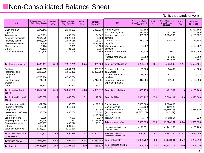#### ■Non-Consolidated Balance Sheet

| <b>Item</b>                                                                                                                             | Previous fiscal year<br>< Ended December 20,<br>2009 >                       | Ratio<br>(% ) | Current fiscal year<br>< Ended December<br>20, 2010 >                        | Ratio<br>(% ) | Increase/<br>decrease                                                                       | Item                                                                                                                                  | Previous fiscal year<br><b>Ended December 20,</b><br>2009 >             | Ratio<br>(% )   | Current fiscal year<br><ended december<br="">20, 2010&gt;</ended>       | Ratio<br>(% )   | Increase/<br>decrease                                                               |
|-----------------------------------------------------------------------------------------------------------------------------------------|------------------------------------------------------------------------------|---------------|------------------------------------------------------------------------------|---------------|---------------------------------------------------------------------------------------------|---------------------------------------------------------------------------------------------------------------------------------------|-------------------------------------------------------------------------|-----------------|-------------------------------------------------------------------------|-----------------|-------------------------------------------------------------------------------------|
| Cash and bank<br>deposits<br>Trade notes<br>Accounts receivable<br>Inventory assets<br>Deferred tax assets<br>Short term loan<br>Others | 1,275,141<br>618.989<br>2,264,079<br>2.038.299<br>217,900<br>6,174<br>79.131 |               | 2,344,171<br>653.056<br>2,225,899<br>2.067.015<br>144,532<br>5,989<br>81.668 |               | 1,069,030<br>34.067<br>$\triangle$ 38,180<br>$\triangle$ 73,368<br>$\triangle$ 185<br>2.537 | Notes payable<br>Accounts payable<br>Accrued expenses<br>payable<br>28,716 Corporate taxes<br>payable<br>Consumption taxes<br>payable | 530,562<br>422,793<br>1,369,037<br>571,930<br>75,637                    |                 | 467,142<br>1,280,705<br>635,475                                         |                 | $\triangle$ 530,562<br>44,349<br>$\triangle$ 88,332<br>63.545<br>$\triangle$ 75,637 |
| Loan loss reserves                                                                                                                      | $\triangle$ 9,315                                                            |               | $\triangle$ 10,124                                                           |               | $\triangle$ 809                                                                             | Reserve for returned<br>goods<br>Reserve for bonuses<br><b>Others</b>                                                                 | 31,720<br>61,080<br>158,278                                             |                 | 19,075<br>64,280<br>158,931                                             |                 | $\triangle$ 12,645<br>3,200<br>653                                                  |
| <b>Total current assets</b>                                                                                                             | 6.490.401                                                                    | 31.6          | 7,512,209                                                                    | 35.4          | 1.021.808                                                                                   | <b>Total current liabilities</b>                                                                                                      | 3,221,040                                                               | 15.7            | 2,625,609                                                               | 12.4            | $\triangle$ 595.431                                                                 |
| <b>Buildings</b><br>Machinery and<br>equipment                                                                                          | 3,442,965<br>1,297,510                                                       |               | 4,044,882<br>1,068,452                                                       |               | 601,917<br>$\triangle$ 229,058                                                              | Reserve for loss on<br>quarantees<br>Guarantee deposits                                                                               | 39,000<br>84,752                                                        |                 | 38,400<br>81,779                                                        |                 | $\triangle$ 600<br>$\triangle$ 2.973                                                |
| Land<br>Construction in<br>progress<br><b>Others</b>                                                                                    | 4,763,766<br>721,585<br>331,242                                              |               | 4,763,766<br>3,634<br>366,963                                                |               | $\triangle$ 717,951<br>35,721                                                               | received<br>Long-term accrued<br>expenses payable                                                                                     | 312,004                                                                 |                 | 282,408                                                                 |                 | $\triangle$ 29,596                                                                  |
| Total tangible fixed<br>assets                                                                                                          | 10,557,070                                                                   | 51.4          | 10,247,698                                                                   | 48.3          | $\triangle$ 309,372                                                                         | <b>Total fixed liabilities</b>                                                                                                        | 435,756                                                                 | 2.1             | 402,587                                                                 | 1.9             | $\triangle$ 33,169                                                                  |
| Total intangible fixed<br>assets                                                                                                        | 300,393                                                                      | 1.5           | 447,754                                                                      | 2.1           | 147,361                                                                                     | <b>Total liabilities</b>                                                                                                              | 3,656,797                                                               | 17.8            | 3,028,197                                                               | 14.3            | $\triangle$ 628,600                                                                 |
| Investment securities<br>Shares in affiliated<br>companies<br>Investment in affiliated<br>companies<br>Long-term loans                  | 1,307,670<br>616,369<br>280,000<br>9,265                                     |               | 1,180,555<br>616,369<br>430,000<br>7,073                                     |               | $\triangle$ 127,115<br>150,000<br>$\triangle$ 2.192<br>$\triangle$ 71,964<br>9,279          | Capital stock<br>Capital surplus<br>Retained earnings<br>(Inc. current net<br>income)<br>Treasury stock                               | 2,000,000<br>199,120<br>14,802,786<br>(1,827,372)<br>$\triangle$ 38,572 |                 | 2,000,000<br>199,120<br>16.159.396<br>(2,046,189)<br>$\triangle$ 38,254 |                 | 1,356,610<br>318                                                                    |
| Prepaid pension costs<br>Deferred tax assets                                                                                            | 82,425<br>456,737                                                            |               | 10,461<br>466.016                                                            |               | $\triangle$ 184,699<br>25,513                                                               | Total shareholders' equity                                                                                                            | 16,963,333                                                              | 82.6            | 18,320,261                                                              | 86.4            | 1,356,928                                                                           |
| <b>Others</b><br>Loan loss reserves                                                                                                     | 486,323<br>$\triangle$ 38,097                                                |               | 301,624<br>$\triangle$ 12,584                                                |               |                                                                                             | Net unrealized gains on<br>other securities                                                                                           | $\triangle$ 71,571                                                      |                 | $\triangle$ 141,280                                                     |                 | $\triangle$ 69.709                                                                  |
| Total investments and<br>other assets                                                                                                   | 3,200,693                                                                    | 15.6          | 2,999,516                                                                    | 14.1          | $\triangle$ 201,177                                                                         | Total valuation and<br>translation adjustments                                                                                        | $\triangle$ 71,571                                                      | $\triangle$ 0.3 | $\triangle$ 141,280                                                     | $\triangle$ 0.7 | $\triangle$ 69,709                                                                  |
| Total fixed assets                                                                                                                      | 14,058,158                                                                   | 68.4          | 13,694,970                                                                   | 64.6          | $\triangle$ 363,188                                                                         | <b>Total net assets</b>                                                                                                               | 16,891,762                                                              | 82.2            | 18,178,981                                                              | 85.7            | 1,287,219                                                                           |
| <b>Total assets</b>                                                                                                                     | 20,548,559                                                                   | 100           | 21,207,179                                                                   | 100           | 658,620                                                                                     | Total liabilities and net<br>assets                                                                                                   | 20,548,559                                                              | 100             | 21,207,179                                                              | 100             | 658,620                                                                             |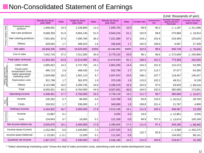### ■Non-Consolidated Statement of Earnings

|                                                 |                                                                                                                                   | <b>Results for fiscal</b><br>year 2009 | Ratio           | <b>Target for fiscal</b><br>year 2010 | Ratio | <b>Results for fiscal</b><br>year 2010 | Ratio | <b>Growth rate</b> | Achievement<br>rate | Increase/ decrease<br>against previous<br>fiscal year | Increase/ decrease<br>against target |
|-------------------------------------------------|-----------------------------------------------------------------------------------------------------------------------------------|----------------------------------------|-----------------|---------------------------------------|-------|----------------------------------------|-------|--------------------|---------------------|-------------------------------------------------------|--------------------------------------|
|                                                 | Permanent wave<br>products                                                                                                        | 1,946,891                              | 10.3            | 2,156,800                             | 11.0  | 1,945,704                              | 10.0  | 99.9               | 90.2                | $\triangle$ 1,187                                     | $\triangle$ 211,096                  |
| Product category totals                         | Hair care products                                                                                                                | 9,668,350                              | 51.0            | 9,964,130                             | 51.0  | 9,944,216                              | 51.1  | 102.9              | 99.8                | 275,866                                               | $\triangle$ 19,914                   |
|                                                 | Hair coloring products                                                                                                            | 7,001,902                              | 37.0            | 7,095,760                             | 36.3  | 7,221,385                              | 37.1  | 103.1              | 101.8               | 219,483                                               | 125,625                              |
|                                                 | <b>Others</b>                                                                                                                     | 329,062                                | 1.7             | 308,310                               | 1.6   | 335,649                                | 1.7   | 102.0              | 108.9               | 6,587                                                 | 27,339                               |
|                                                 | Net sales                                                                                                                         | 18,946,206                             | 100%            | 19,525,000                            | 100%  | 19,446,955                             | 100%  | 102.6              | 99.6                | 500,749                                               | $\triangle$ 78,045                   |
|                                                 | Cost of sales                                                                                                                     | 7,042,743                              | 37.2            | 7,011,000                             | 35.9  | 6,770,134                              | 34.8  | 96.1               | 96.6                | $\triangle$ 272,609                                   | $\triangle$ 240,866                  |
|                                                 | Total sales revenues                                                                                                              | 11,903,462                             | 62.8            | 12,514,000                            | 64.1  | 12,676,820                             | 65.2  | 106.5              | 101.3               | 773,358                                               | 162,820                              |
|                                                 | Labor costs                                                                                                                       | 2,685,822                              | 14.2            | 2,747,750                             | 14.1  | 2,801,035                              | 14.4  | 104.3              | 101.9               | 115,213                                               | 53,285                               |
| Selling, general and<br>administrative expenses | Travel costs/<br>transportation costs                                                                                             | 495,713                                | 2.6             | 468,435                               | 2.4   | 532,790                                | 2.7   | 107.5              | 113.7               | 37,077                                                | 64,355                               |
|                                                 | Sales/ advertising/<br>marketing costs <sup>*</sup>                                                                               | 1,929,080                              | 10.2            | 1,901,110                             | 9.7   | 2,047,537                              | 10.5  | 106.1              | 107.7               | 118,457                                               | 146,427                              |
|                                                 | Depreciation costs                                                                                                                | 321,798                                | 1.7             | 361,970                               | 1.9   | 370,109                                | 1.9   | 115.0              | 102.2               | 48,311                                                | 8,139                                |
|                                                 | <b>Others</b>                                                                                                                     | 3,122,586                              | 16.5            | 3,284,735                             | 16.8  | 3,186,219                              | 16.4  | 102.0              | 97.0                | 63,633                                                | $\triangle$ 98,516                   |
|                                                 | Total                                                                                                                             | 8,555,001                              | 45.2            | 8,764,000                             | 44.9  | 8,937,691                              | 46.0  | 104.5              | 102.0               | 382,690                                               | 173,691                              |
|                                                 | Operating income                                                                                                                  | 3,348,461                              | 17.7            | 3,750,000                             | 19.2  | 3,739,129                              | 19.2  | 111.7              | 99.7                | 390,668                                               | $\triangle$ 10,871                   |
| Non-<br>operating                               | Income                                                                                                                            | 135,282                                | 0.7             | 86,000                                | 0.4   | 114,769                                | 0.6   | 84.8               | 133.5               | $\triangle$ 20,513                                    | 28,769                               |
|                                                 | Costs                                                                                                                             | 318,912                                | 1.7             | 336,000                               | 1.7   | 340,699                                | 1.8   | 106.8              | 101.4               | 21,787                                                | 4,699                                |
|                                                 | Ordinary income                                                                                                                   | 3,164,832                              | 16.7            | 3,500,000                             | 17.9  | 3,513,199                              | 18.1  | 111.0              | 100.4               | 348.367                                               | 13,199                               |
|                                                 | Income                                                                                                                            | 15,887                                 | 0.1             |                                       |       | 3,026                                  | 0.0   | 19.0               |                     | $\triangle$ 12,861                                    | 3,026                                |
| Extraordinary                                   | Loss                                                                                                                              | 134,843                                | 0.7             | 16,000                                | 0.1   | 121,169                                | 0.6   | 89.9               | 757.3               | $\triangle$ 13,674                                    | 105,169                              |
|                                                 | Net income before tax                                                                                                             | 3,045,875                              | 16.1            | 3,484,000                             | 17.8  | 3,395,055                              | 17.5  | 111.5              | 97.4                | 349,180                                               | $\triangle$ 88,945                   |
|                                                 | Income taxes-Current                                                                                                              | 1,242,094                              | 6.6             | 1,440,800                             | 7.4   | 1,237,525                              | 6.4   |                    |                     | $\triangle$ 4,569                                     | $\triangle$ 203,275                  |
|                                                 | Income taxes-Deferred                                                                                                             | $\triangle$ 23,591                     | $\triangle$ 0.1 | 13,200                                | 0.1   | 111,341                                | 0.6   | 110.7              | 92.8                | 134,932                                               | 98,141                               |
|                                                 | Quarterly net income                                                                                                              | 1,827,372                              | 9.6             | 2,030,000                             | 10.4  | 2,046,189                              | 10.5  | 112.0              | 100.8               | 218,817                                               | 16,189                               |
|                                                 | * "Sales/ advertising/ marketing costs" shows the total of sales promotion costs, advertising costs and market development costs. |                                        |                 |                                       |       |                                        |       |                    |                     |                                                       |                                      |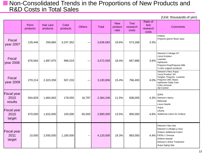#### ■ Non-Consolidated Trends in the Proportions of New Products and R&D Costs in Total Sales

|                                       | Perm<br>products | Hair care<br>products | Color<br>products | <b>Others</b> | Total     | <b>New</b><br>product<br>ratio | <b>Test</b><br>research<br>costs | Ratio of<br>test<br>research<br>costs | <b>Comments</b>                                                                                                                                                    |
|---------------------------------------|------------------|-----------------------|-------------------|---------------|-----------|--------------------------------|----------------------------------|---------------------------------------|--------------------------------------------------------------------------------------------------------------------------------------------------------------------|
| <b>Fiscal</b><br>year 2007            | 129,446          | 259,884               | 3,247,352         |               | 3,636,683 | 19.6%                          | 573,268                          | 3.3%                                  | Ordeve<br>Prejume (perm/ floss/ wax)                                                                                                                               |
| <b>Fiscal</b><br>year 2008            | 678,564          | 1,897,975             | 996,019           |               | 3,572,559 | 18.4%                          | 667,886                          | 3.6%                                  | Deesse's Linkage HY<br>Liscio Knoteur<br>Liseinter<br>Inphenom<br>Prejume Drop/Prejume Milk<br>2 color support products                                            |
| <b>Fiscal</b><br>year 2009            | 270,214          | 2,323,359             | 507,233           |               | 3,100,806 | 15.4%                          | 766,493                          | 4.0%                                  | Deesse's Neu/ Aujua<br>Liscio Knoteur SH<br>Farglan, Prejume Luviento<br>Prejume CMC Wave<br>Inphenom Daily Care<br>Color remover<br>Ajit Control                  |
| <b>Fiscal year</b><br>2010<br>results | 504,829          | 1,664,063             | 178,555           | 16,797        | 2,364,246 | 11.5%                          | 838,005                          | 4.3%                                  | Qufra<br>Deesse's Aprou<br>Melenate<br>Liscio Glanfe                                                                                                               |
| <b>Fiscal year</b><br>2010<br>target  | 670,000          | 1,915,000             | 150,000           | 65,000        | 2,800,000 | 13.5%                          | 900,000                          | 4.6%                                  | Aujua<br>Lifume<br>Additional colors for Ordeve                                                                                                                    |
| <b>Fiscal year</b><br>2011<br>target  | 10,000           | 2,930,000             | 1,180,000         | -             | 4,120,000 | 19.3%                          | 883,000                          | 4.4%                                  | Deesse's Neu due<br>Deesse's Linkage-µ (mu)<br><b>Ordeve Additional Colors</b><br>FIERLI / Dressia<br>Ordeve beauté<br>Deesse's Shine Treatment<br>Aujua Aging Spa |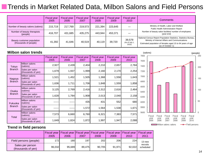### ■Trends in Market Related Data, Milbon Salons and Field Persons

|                                                     | <b>Fiscal year</b><br>2005 | <b>Fiscal year</b><br>2006 | <b>Fiscal year</b><br>2007 | <b>Fiscal year</b><br>2008 | <b>Fiscal year</b><br>2009 | Fiscal year<br>2010               | Comments                                                                                                                                                                                               |
|-----------------------------------------------------|----------------------------|----------------------------|----------------------------|----------------------------|----------------------------|-----------------------------------|--------------------------------------------------------------------------------------------------------------------------------------------------------------------------------------------------------|
| Number of beauty salons (salons)                    | 215.719                    | 217.769                    | 219.573                    | 221,394                    | 223,645                    |                                   | Ministry of Health, Labor and Welfare<br>Public Health Administration Report                                                                                                                           |
| Number of beauty therapists<br>(people)             | 416.707                    | 431.685                    | 435.275                    | 443,944                    | 453.371                    |                                   | Number of beauty salon facilities/ number of employees<br>(year-end)                                                                                                                                   |
| Beauty customer population<br>(thousands of people) | 41,392                     | 41,646                     | 40.519                     | 40,119                     | 39.720                     | 39,579<br>(As of July 1,<br>2010) | National Census Report Population Statistics, Statistics Bureau,<br>Ministry of Internal Affairs and Communications<br>Estimated population of females aged 15 to 64 years of age<br>(as of October 1) |

#### **Milbon salon trends**

|                |                                       | <b>Fiscal year</b><br>2005 | <b>Fiscal year</b><br>2006 | <b>Fiscal year</b><br>2007 | <b>Fiscal year</b><br>2008 | <b>Fiscal year</b><br>2009 | <b>Fiscal year</b><br>2010 |
|----------------|---------------------------------------|----------------------------|----------------------------|----------------------------|----------------------------|----------------------------|----------------------------|
| Tokyo          | Milbon salons<br>(salons)             | 2,927                      | 2,439                      | 2,404                      | 2,210                      | 2,657                      | 2,784                      |
| <b>Branch</b>  | Sales per salon<br>(thousands of yen) | 1,679                      | 1,937                      | 1,999                      | 2,160                      | 2,170                      | 2,254                      |
| Nagoya         | Milbon salons<br>(salons)             | 1,521                      | 1,452                      | 1,505                      | 1,368                      | 1,558                      | 1,643                      |
| <b>Branch</b>  | Sales per salon<br>(thousands of yen) | 1,636                      | 1,711                      | 1,706                      | 1,848                      | 1,559                      | 1,858                      |
| Osaka          | Milbon salons<br>(salons)             | 3,125                      | 2,769                      | 2,416                      | 2,312                      | 2,616                      | 2,464                      |
| <b>Branch</b>  | Sales per salon<br>(thousands of yen) | 1,628                      | 1,784                      | 1,908                      | 2,013                      | 2,040                      | 2,158                      |
| <b>Fukuoka</b> | Milbon salons<br>(salons)             |                            |                            | 435                        | 431                        | 552                        | 680                        |
| <b>Branch</b>  | Sales per salon<br>(thousands of yen) |                            |                            | 1,572                      | 1,564                      | 1,538                      | 1,671                      |
| Total          | Milbon salons<br>(salons)             | 7,573                      | 6,660                      | 6,760                      | 6,321                      | 7,383                      | 7,571                      |
|                | Sales per salon<br>(thousands of yen) | 1,649                      | 1,824                      | 1,872                      | 1,997                      | 1,947                      | 2,088                      |



#### **Trend in field persons**

|                                        | <b>Fiscal year</b><br>2005 | 2006   | 2007   | Fiscal year   Fiscal year   Fiscal year   Fiscal year   Fiscal year<br>2008 | 2009   | 2010   | <b>Fiscal vear</b><br>2011 |
|----------------------------------------|----------------------------|--------|--------|-----------------------------------------------------------------------------|--------|--------|----------------------------|
| Field persons (people)                 | 172I                       | 180I   | 197    | <b>2021</b>                                                                 | 206    | 224    | 13 new                     |
| Sales per person<br>(thousands of yen) | 96.032                     | 95.689 | 89.475 | 90.705                                                                      | 91.971 | 92.022 | recruits<br>scheduled      |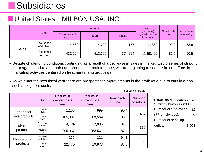## **Subsidiaries**

### ■United States MILBON USA, INC.

|              |                         |                                | Amount  | Increase<br>(decrease) | Growth rate                     | Achieveme |                |  |
|--------------|-------------------------|--------------------------------|---------|------------------------|---------------------------------|-----------|----------------|--|
|              | Unit                    | <b>Previous fiscal</b><br>year | Target  | <b>Results</b>         | against previous<br>fiscal year | (%)       | nt rate $(\%)$ |  |
| <b>Sales</b> | Thousands<br>of dollars | 4,539                          | 4,700   | 4,177                  | $\triangle$ 362                 | 92.0      | 88.9           |  |
|              | Thousands<br>of yen     | 432,624                        | 413,600 | 374,224                | $\triangle$ 58,400              | 86.5      | 90.5           |  |

- Despite challenging conditions continuing as a result of a decrease in sales in the key Liscio series of straight perm agents and related hair care products for maintenance, we are beginning to see the fruit of efforts in marketing activities centered on treatment menu proposals.
- As we enter the next fiscal year there are prospects for improvements in the profit ratio due to cuts in areas such as logistics costs.

(As of September 2010)

|               | Unit                    | <b>Results in</b><br>previous fiscal<br>year | <b>Results in</b><br>current fiscal<br>year | Growth rate<br>(%) | <b>Number</b><br>of salons |
|---------------|-------------------------|----------------------------------------------|---------------------------------------------|--------------------|----------------------------|
| Permanent     | Thousands<br>of dollars | 1,105                                        | 999                                         | 90.4               | 457                        |
| wave products | Thousands<br>of yen     | 105,387                                      | 89,569                                      | 85.0               |                            |
| Hair care     | Thousands<br>of dollars | 3,104                                        | 2,886                                       | 92.9               | 339                        |
| products      | Thousands<br>of yen     | 295,937                                      | 258,561                                     | 87.4               |                            |
| Hair coloring | Thousands<br>of dollars | 235                                          | 221                                         | 94.1               | 39                         |
| products      | Thousands<br>of yen     | 22,470                                       | 19,878                                      | 88.5               |                            |

Established: March 2004 \* Operations launched in July 2004 Number of employees: 12 (FP employees): Number of handling outlets: 9 1,204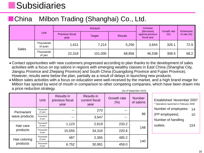## **Subsidiaries**

### ■China Milbon Trading (Shanghai) Co., Ltd.

|              |                      |                                | Amount  | Increase<br>(decrease) | Growth rate                     | Achieveme |                |  |
|--------------|----------------------|--------------------------------|---------|------------------------|---------------------------------|-----------|----------------|--|
|              | Unit                 | <b>Previous fiscal</b><br>year | Target  | <b>Results</b>         | against previous<br>fiscal year | (%)       | nt rate $(\%)$ |  |
|              | Thousands<br>of yuan | 1,611                          | 7,214   | 5,256                  | 3,644                           | 326.1     | 72.9           |  |
| <b>Sales</b> | Thousands<br>of yen  | 22,318                         | 101,000 | 68,856                 | 46,538                          | 308.5     | 68.2           |  |

- Contact opportunities with new customers progressed according to plan thanks to the development of sales activities with a focus on top salons in regions with emerging wealthy classes in East China (Shanghai City, Jiangsu Province and Zhejiang Province) and South China (Guangdong Province and Fujian Province). However, results were below the plan, partially as a result of delays in launching new products.
- (As of September 2010) • Milbon sales activities with a focus on education were well-received by the market, and a high brand image for Milbon has spread by word of mouth in comparison to other competing companies, which have been drawn into a price reduction strategy.

|                            | Unit                 | <b>Results in</b><br>previous fiscal<br>year | <b>Results in</b><br>current fiscal<br>year | <b>Growth rate</b><br>(% ) | <b>Number</b><br>of salons |  |
|----------------------------|----------------------|----------------------------------------------|---------------------------------------------|----------------------------|----------------------------|--|
| Permanent<br>wave products | Thousands<br>of yuan |                                              | 270                                         |                            | 86                         |  |
|                            | Thousands<br>of yen  |                                              | 3,547                                       |                            |                            |  |
| Hair care                  | Thousands<br>of yuan | 1,123                                        | 2,619                                       | 233.2                      | 148                        |  |
| products                   | Thousands<br>of yen  | 15,555                                       | 34,316                                      | 220.6                      |                            |  |
| Hair coloring<br>products  | Thousands<br>of yuan | 487                                          | 2,365                                       | 485.2                      | 140                        |  |
|                            | Thousands<br>of yen  | 6,752                                        | 30,991                                      | 459.0                      |                            |  |

| Established: November 2007<br>* Operations launched in February 2009 |     |  |  |  |  |  |
|----------------------------------------------------------------------|-----|--|--|--|--|--|
| Number of employees:                                                 | 14  |  |  |  |  |  |
| (FP employees):                                                      | 10  |  |  |  |  |  |
| Number of handling                                                   |     |  |  |  |  |  |
| outlets:                                                             | 224 |  |  |  |  |  |
|                                                                      |     |  |  |  |  |  |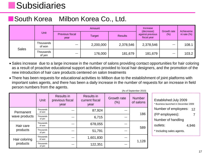## **Subsidiaries**

### ■South Korea Milbon Korea Co., Ltd.

|              |                     |                         | Amount        | Increase<br>(decrease) | Growth rate                     | Achieveme |                |  |
|--------------|---------------------|-------------------------|---------------|------------------------|---------------------------------|-----------|----------------|--|
|              | Unit                | Previous fiscal<br>year | <b>Target</b> | <b>Results</b>         | against previous<br>fiscal year | $(\%)$    | nt rate $(\%)$ |  |
| <b>Sales</b> | Thousands<br>of won |                         | 2,200,000     | 2,378,546              | 2,378,546                       | __        | 108.1          |  |
|              | Thousands<br>of yen |                         | 176,000       | 181,679                | 181,679                         | —         | 103.2          |  |

- Sales increase due to a large increase in the number of salons providing contact opportunities for hair coloring as a result of proactive educational support activities provided to local hair designers, and the promotion of the new introduction of hair care products centered on salon treatments
- There has been requests for educational activities to Milbon due to the establishment of joint platforms with important sales agents, and there has been a daily increase in the number of requests for an increase in field person numbers from the agents.

(As of September 2010)

|                            | Unit                | <b>Results in</b><br>previous fiscal<br>year | <b>Results in</b><br>current fiscal<br>year | <b>Growth rate</b><br>(% ) | <b>Number</b><br>of salons |  |
|----------------------------|---------------------|----------------------------------------------|---------------------------------------------|----------------------------|----------------------------|--|
| Permanent<br>wave products | Thousands<br>of won |                                              | 87,924                                      |                            | 186                        |  |
|                            | Thousands<br>of yen |                                              | 6,715                                       |                            |                            |  |
| Hair care                  | Thousands<br>of won |                                              | 678,055                                     |                            |                            |  |
| products                   | Thousands<br>of yen |                                              | 51,791                                      |                            | 589                        |  |
| Hair coloring<br>products  | Thousands<br>of won |                                              | 1,601,830                                   |                            |                            |  |
|                            | Thousands<br>of yen |                                              | 122,351                                     |                            | 1,128                      |  |

| Established: July 2009               |          |  |  |  |  |  |  |
|--------------------------------------|----------|--|--|--|--|--|--|
| * Business launched in December 2009 |          |  |  |  |  |  |  |
| Number of employees:<br>12           |          |  |  |  |  |  |  |
| (FP employees):                      | $\prime$ |  |  |  |  |  |  |
| Number of handling                   |          |  |  |  |  |  |  |
| outlets:                             | 4,946    |  |  |  |  |  |  |
| * Including sales agents.            |          |  |  |  |  |  |  |
|                                      |          |  |  |  |  |  |  |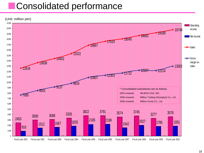## ■Consolidated performance

(Unit: million yen)

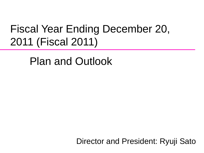# Fiscal Year Ending December 20, 2011 (Fiscal 2011)

Plan and Outlook

Director and President: Ryuji Sato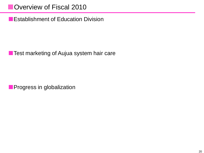■Overview of Fiscal 2010

■ Establishment of Education Division

■ Test marketing of Aujua system hair care

**■** Progress in globalization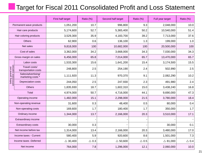### Target for Fiscal 2011 Consolidated Profit and Loss Statement

|                                                 |                                         | First half target  | Ratio (%)       | Second half target | Ratio (%)       | Full year target   | Ratio (%)       |
|-------------------------------------------------|-----------------------------------------|--------------------|-----------------|--------------------|-----------------|--------------------|-----------------|
|                                                 | Permanent wave products                 | 1,051,200          | 10.7            | 996,800            | 9.3             | 2,048,000          | 10.0            |
|                                                 | Hair care products                      | 5,174,600          | 52.7            | 5,365,400          | 50.2            | 10,540,000         | 51.4            |
|                                                 | Hair coloring products                  | 3,529,300          | 35.9            | 4,183,700          | 39.2            | 7,713,000          | 37.6            |
|                                                 | <b>Others</b>                           | 62,900             | 0.6             | 136,100            | 1.3             | 199,000            | 1.0             |
|                                                 | Net sales                               | 9,818,000          | 100             | 10,682,000         | 100             | 20,500,000         | 100             |
|                                                 | Cost of sales                           | 3,362,000          | 34.2            | 3,668,000          | 34.3            | 7,030,000          | 34.3            |
|                                                 | Gross margin on sales                   | 6,456,000          | 65.8            | 7,014,000          | 65.7            | 13,470,000         | 65.7            |
|                                                 | Labor costs                             | 1,533,300          | 15.6            | 1,641,200          | 15.4            | 3,174,500          | 15.5            |
| Selling, general and<br>administrative expenses | Travel costs/<br>transportation costs   | 248,800            | 2.5             | 254,190            | 2.4             | 502,990            | 2.5             |
|                                                 | Sales/advertising/<br>marketing costs * | 1,111,920          | 11.3            | 970,370            | 9.1             | 2,082,290          | 10.2            |
|                                                 | Depreciation costs                      | 244,050            | 2.5             | 247,930            | 2.3             | 491,980            | 2.4             |
|                                                 | <b>Others</b>                           | 1,835,930          | 18.7            | 1,602,310          | 15.0            | 3,438,240          | 16.8            |
| <b>Total</b>                                    |                                         | 4,974,000          | 50.7            | 4,716,000          | 44.1            | 9,690,000          | 47.3            |
|                                                 | Operating income                        | 1,482,000          | 15.1            | 2,298,000          | 21.5            | 3,780,000          | 18.4            |
|                                                 | Non-operating revenue                   | 31,600             | 0.3             | 48,400             | 0.5             | 80,000             | 0.4             |
|                                                 | Non-operating costs                     | 169,600            | 1.7             | 180,400            | 1.7             | 350,000            | 1.7             |
|                                                 | Ordinary income                         | 1,344,000          | 13.7            | 2,166,000          | 20.3            | 3,510,000          | 17.1            |
|                                                 | Extraordinary income                    |                    |                 |                    |                 |                    |                 |
|                                                 | Extraordinary costs                     | 30,000             | 0.3             |                    |                 | 30,000             | 0.1             |
|                                                 | Net income before tax                   | 1,314,000          | 13.4            | 2,166,000          | 20.3            | 3,480,000          | 17.0            |
|                                                 | Income taxes - Current                  | 580,400            | 5.9             | 920,600            | 8.6             | 1,501,000          | 7.3             |
|                                                 | Income taxes -Deferred                  | $\triangle$ 30,400 | $\triangle$ 0.3 | $\triangle$ 50,600 | $\triangle$ 0.5 | $\triangle$ 81,000 | $\triangle$ 0.4 |
|                                                 | Net income                              | 764,000            | 7.8             | 1,296,000          | 12.1            | 2,060,000          | 10.0            |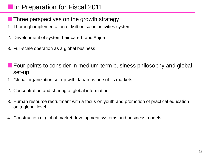### ■In Preparation for Fiscal 2011

- Three perspectives on the growth strategy
- 1. Thorough implementation of Milbon salon activities system
- 2. Development of system hair care brand Aujua
- 3. Full-scale operation as a global business
- Four points to consider in medium-term business philosophy and global set-up
- 1. Global organization set-up with Japan as one of its markets
- 2. Concentration and sharing of global information
- 3. Human resource recruitment with a focus on youth and promotion of practical education on a global level
- 4. Construction of global market development systems and business models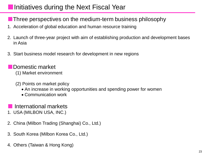### ■Initiatives during the Next Fiscal Year

■ Three perspectives on the medium-term business philosophy

- 1. Acceleration of global education and human resource training
- 2. Launch of three-year project with aim of establishing production and development bases in Asia
- 3. Start business model research for development in new regions
	- Domestic market
		- (1) Market environment
		- (2) Points on market policy
			- An increase in working opportunities and spending power for women
			- Communication work

#### International markets

- 1. USA (MILBON USA, INC.)
- 2. China (Milbon Trading (Shanghai) Co., Ltd.)
- 3. South Korea (Milbon Korea Co., Ltd.)
- 4. Others (Taiwan & Hong Kong)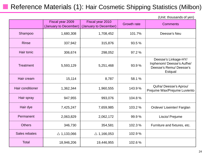#### Reference Materials (1): Hair Cosmetic Shipping Statistics (Milbon)

|                  | Fiscal year 2009<br>(January to December) | Fiscal year 2010<br>(January to December) | <b>Growth rate</b> | <b>Comments</b>                                                                       |
|------------------|-------------------------------------------|-------------------------------------------|--------------------|---------------------------------------------------------------------------------------|
| Shampoo          | 1,680,308                                 | 1,708,452                                 | 101.7%             | Deesse's Neu                                                                          |
| <b>Rinse</b>     | 337,942                                   | 315,876                                   | 93.5%              |                                                                                       |
| Hair tonic       | 306,674                                   | 298,052                                   | 97.2%              |                                                                                       |
| <b>Treatment</b> | 5,593,129                                 | 5,251,468                                 | 93.9%              | Deesse's Linkage-HY/<br>Inphenom/Deesse's Aufhe/<br>Deesse's Remu/Deesse's<br>Estqual |
| Hair cream       | 15,114                                    | 8,787                                     | 58.1%              |                                                                                       |
| Hair conditioner | 1,362,344                                 | 1,960,555                                 | 143.9%             | Qufra/Deesse's Aprou/<br>Prejume Wax/Prejume Luviento                                 |
| Hair spray       | 947,955                                   | 993,076                                   | 104.8%             |                                                                                       |
| Hair dye         | 7,425,247                                 | 7,659,985                                 | 103.2%             | Ordeve/ Liseinter/ Farglan                                                            |
| Permanent        | 2,063,829                                 | 2,062,172                                 | 99.9%              | Liscio/ Prejume                                                                       |
| <b>Others</b>    | 346,730                                   | 354,581                                   | 102.3%             | Furniture and fixtures, etc.                                                          |
| Sales rebates    | $\triangle$ 1,133,066                     | $\triangle$ 1,166,053                     | 102.9%             |                                                                                       |
| <b>Total</b>     | 18,946,206                                | 19,446,955                                | 102.6%             |                                                                                       |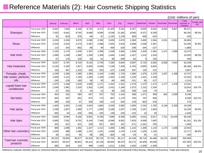#### ■Reference Materials (2): Hair Cosmetic Shipping Statistics

(Unit: millions of yen)

|                      |                   | January | February | March  | April  | May    | June     | July   | August | September | October  | November | December | Total<br>(January to<br>October) | Growth rate<br>(% ) |
|----------------------|-------------------|---------|----------|--------|--------|--------|----------|--------|--------|-----------|----------|----------|----------|----------------------------------|---------------------|
|                      | Fiscal year 2009  | 6,942   | 7,660    | 9,168  | 8,754  | 8,472  | 10,403   | 9,253  | 8,357  | 8,830     | 8,832    | 8,050    | 9,807    | 86,671                           |                     |
| Shampoo              | Fiscal year 2010  | 7,033   | 6,841    | 8,792  | 8,688  | 8,569  | 9,248    | 11,382 | 9,040  | 8,372     | 8,290    |          |          | 86,255                           | 99.5%               |
|                      | Difference        | 91      | $-819$   | $-376$ | -66    | 97     | $-1,155$ | 2,129  | 683    | -458      | $-542$   |          |          | $-416$                           |                     |
|                      | Fiscal year 2009  | 2,229   | 2,269    | 3,075  | 2,585  | 2,392  | 3,009    | 2,879  | 2,360  | 2,683     | 2,584    | 2,031    | 2,561    | 26,065                           |                     |
| <b>Rinse</b>         | Fiscal year 2010  | 2,343   | 2,024    | 2,273  | 2,487  | 2,488  | 2,553    | 2,643  | 2,698  | 2,339     | 2,357    |          |          | 24,205                           | 92.9%               |
|                      | Difference        | 114     | $-245$   | $-802$ | -98    | 96     | $-456$   | $-236$ | 338    | $-344$    | $-227$   |          |          | $-1,860$                         |                     |
|                      | Fiscal year 2009  | 1,155   | 1,170    | 1,526  | 1,397  | 1,390  | 1,548    | 1,694  | 1,509  | 1,503     | 1,381    | 1,471    | 1,586    | 14,273                           |                     |
| Hair tonic           | Fiscal year 2010  | 1,098   | 1,346    | 1,380  | 1,359  | 1,339  | 1,644    | 1,404  | 1,427  | 1,512     | 1,516    |          |          | 14,025                           | 98.3%               |
|                      | Difference        | $-57$   | 176      | $-146$ | $-38$  | $-51$  | 96       | -290   | $-82$  | 9         | 135      |          |          | $-248$                           |                     |
|                      | Fiscal year 2009  | 5,037   | 5,797    | 6,724  | 6,410  | 5,733  | 7,285    | 5,844  | 6.097  | 6,720     | 6,592    | 6,508    | 7,644    | 62,239                           |                     |
| Hair treatment       | Fiscal year 2010  | 5,193   | 5,340    | 7,827  | 6,846  | 6,266  | 7,158    | 7,303  | 6,704  | 6,855     | 6,804    |          |          | 66,296                           | 106.5%              |
|                      | Difference        | 156     | $-457$   | 1,103  | 436    | 533    | $-127$   | 1,459  | 607    | 135       | 212      |          |          | 4,057                            |                     |
| Pomade, cheek,       | Fiscal year 2009  | 1,249   | 1,260    | 1,360  | 1,384  | 1.144  | 1,496    | 1,718  | 1,384  | 1,376     | 1,376    | 1,257    | 1,438    | 13,747                           |                     |
| hair cream, perfume  | Fiscal year 2010  | 1,009   | 1,132    | 1,180  | 1,450  | 1,109  | 1,402    | 1,328  | 1,233  | 1,441     | 1,249    |          |          | 12,533                           | 91.2%               |
| oils                 | <b>Difference</b> | $-240$  | $-128$   | $-180$ | 66     | $-35$  | -94      | $-390$ | $-151$ | 65        | $-127$   |          |          | $-1,214$                         |                     |
| Liquid/ foam hair    | Fiscal year 2009  | 1,075   | 1,446    | 1,520  | 1,508  | 1,171  | 1,341    | 1,321  | 1,275  | 1,270     | 1,274    | 1,177    | 1,479    | 13,201                           |                     |
| conditioners         | Fiscal year 2010  | 1,048   | 1,981    | 1,520  | 1,562  | 1,159  | 1,431    | 1,186  | 1,573  | 1,152     | 1,204    |          |          | 13,816                           | 104.7%              |
|                      | Difference        | -27     | 535      | 0      | 54     | $-12$  | 90       | $-135$ | 298    | $-118$    | $-70$    |          |          | 615                              |                     |
|                      | Fiscal year 2009  | 454     | 532      | 584    | 607    | 537    | 753      | 1,434  | 938    | 1,371     | 959      | 842      | 1,059    | 8,169                            |                     |
| Set lotion           | Fiscal year 2010  | 943     | 697      | 651    | 875    | 773    | 867      | 1,170  | 792    | 767       | 804      |          |          | 8,339                            | 102.1%              |
|                      | Difference        | 489     | 165      | 67     | 268    | 236    | 114      | $-264$ | $-146$ | $-604$    | $-155$   |          |          | 170                              |                     |
|                      | Fiscal year 2009  | 1,463   | 1,661    | 2,149  | 2,043  | 1,884  | 2,029    | 2,082  | 1,984  | 2,154     | 1,750    | 2.146    | 2,329    | 19,199                           |                     |
| Hair spray           | Fiscal year 2010  | 1,258   | 1,607    | 1,990  | 1,777  | 1,659  | 2,168    | 1,927  | 1,769  | 2,167     | 1,843    |          |          | 18,165                           | 94.6%               |
|                      | <b>Difference</b> | $-205$  | $-54$    | $-159$ | $-266$ | $-225$ | 139      | $-155$ | $-215$ | 13        | 93       |          |          | $-1,034$                         |                     |
|                      | Fiscal year 2009  | 5,660   | 6,964    | 9,180  | 8,901  | 6,789  | 7,899    | 8,395  | 8,090  | 9,610     | 8,617    | 7,721    | 10,429   | 80,105                           |                     |
| Hair dyes            | Fiscal year 2010  | 5,985   | 7,591    | 9,701  | 9,140  | 7,346  | 8,586    | 8,562  | 7,819  | 8,569     | 7,862    |          |          | 81,161                           | 101.3%              |
|                      | Difference        | 325     | 627      | 521    | 239    | 557    | 687      | 167    | $-271$ | $-1,041$  | $-755$   |          |          | 1,056                            |                     |
|                      | Fiscal year 2009  | 989     | 1,090    | 1,391  | 1,327  | 1,212  | 1,940    | 1,496  | 1,142  | 1,200     | 1,123    | 1,173    | 1,336    | 12,910                           |                     |
| Other hair cosmetics | Fiscal year 2010  | 1,029   | 989      | 1,486  | 1,231  | 1,421  | 1,636    | 1,470  | 1,118  | 1,235     | 1,102    |          |          | 12,717                           | 98.5%               |
|                      | Difference        | 40      | $-101$   | 95     | -96    | 209    | $-304$   | -26    | $-24$  | 35        | $-21$    |          |          | $-193$                           |                     |
| Total hair cosmetic  | Fiscal year 2009  | 26,253  | 29,850   | 36,677 | 34,916 | 30,725 | 37,703   | 36,117 | 33,138 | 36,718    | 34,489   | 32,375   | 39,667   | 336,586                          |                     |
| products             | Fiscal year 2010  | 26,937  | 29,547   | 36,801 | 35,414 | 32,128 | 36,692   | 38,373 | 34,172 | 34,409    | 33,030   |          |          | 337,503                          | 100.3%              |
|                      | Difference        | 684     | $-303$   | 124    | 498    | 1,403  | $-1,011$ | 2,256  | 1,034  | $-2,309$  | $-1,459$ |          |          | 917                              |                     |

Reference material: Monthly report on chemical industry statistics (Research and Statistics Department, Economic and Industrial Policy Bureau, Ministry of Economy, Trade and Industry)